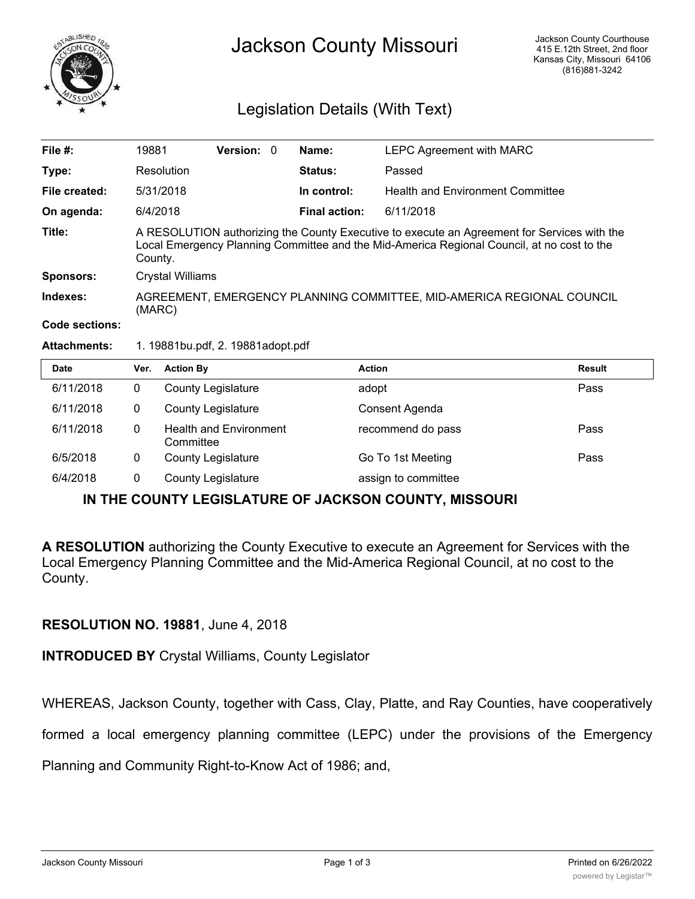

# Jackson County Missouri

# Legislation Details (With Text)

| File $#$ :       | 19881                                                                                                                                                                                                | <b>Version:</b> |  | Name:                | <b>LEPC Agreement with MARC</b>  |  |  |
|------------------|------------------------------------------------------------------------------------------------------------------------------------------------------------------------------------------------------|-----------------|--|----------------------|----------------------------------|--|--|
| Type:            | Resolution                                                                                                                                                                                           |                 |  | <b>Status:</b>       | Passed                           |  |  |
| File created:    | 5/31/2018                                                                                                                                                                                            |                 |  | In control:          | Health and Environment Committee |  |  |
| On agenda:       | 6/4/2018                                                                                                                                                                                             |                 |  | <b>Final action:</b> | 6/11/2018                        |  |  |
| Title:           | A RESOLUTION authorizing the County Executive to execute an Agreement for Services with the<br>Local Emergency Planning Committee and the Mid-America Regional Council, at no cost to the<br>County. |                 |  |                      |                                  |  |  |
| <b>Sponsors:</b> | Crystal Williams                                                                                                                                                                                     |                 |  |                      |                                  |  |  |
| Indexes:         | AGREEMENT, EMERGENCY PLANNING COMMITTEE, MID-AMERICA REGIONAL COUNCIL<br>(MARC)                                                                                                                      |                 |  |                      |                                  |  |  |
|                  |                                                                                                                                                                                                      |                 |  |                      |                                  |  |  |

#### **Code sections:**

#### **Attachments:** 1. 19881bu.pdf, 2. 19881adopt.pdf

| <b>Date</b> | Ver. | <b>Action By</b>                           | <b>Action</b>       | <b>Result</b> |
|-------------|------|--------------------------------------------|---------------------|---------------|
| 6/11/2018   | 0    | <b>County Legislature</b>                  | adopt               | Pass          |
| 6/11/2018   | 0    | <b>County Legislature</b>                  | Consent Agenda      |               |
| 6/11/2018   | 0    | <b>Health and Environment</b><br>Committee | recommend do pass   | Pass          |
| 6/5/2018    | 0    | <b>County Legislature</b>                  | Go To 1st Meeting   | Pass          |
| 6/4/2018    | 0    | <b>County Legislature</b>                  | assign to committee |               |

## **IN THE COUNTY LEGISLATURE OF JACKSON COUNTY, MISSOURI**

**A RESOLUTION** authorizing the County Executive to execute an Agreement for Services with the Local Emergency Planning Committee and the Mid-America Regional Council, at no cost to the County.

### **RESOLUTION NO. 19881**, June 4, 2018

**INTRODUCED BY** Crystal Williams, County Legislator

WHEREAS, Jackson County, together with Cass, Clay, Platte, and Ray Counties, have cooperatively

formed a local emergency planning committee (LEPC) under the provisions of the Emergency

Planning and Community Right-to-Know Act of 1986; and,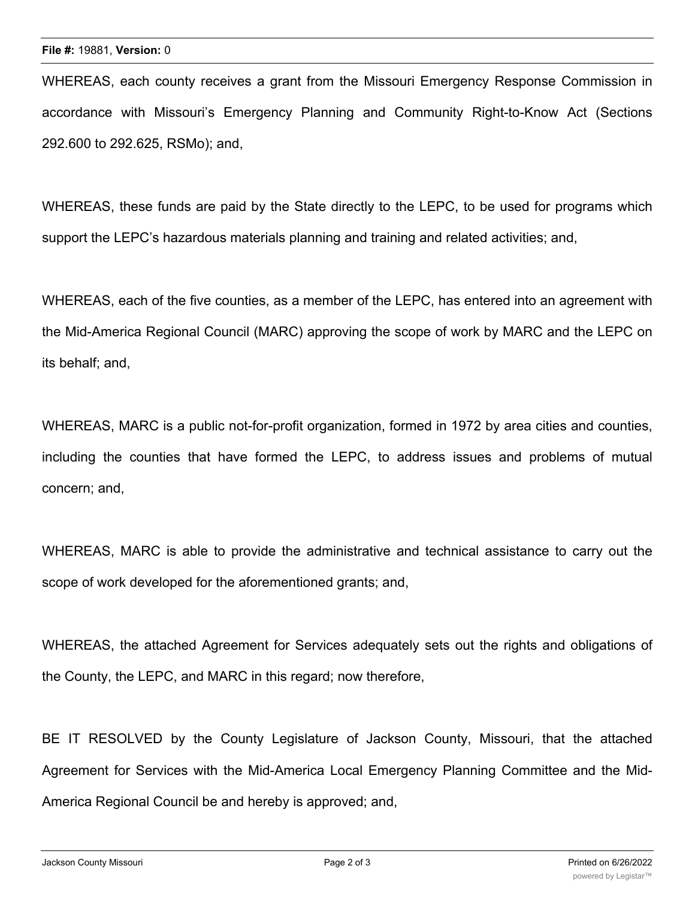WHEREAS, each county receives a grant from the Missouri Emergency Response Commission in accordance with Missouri's Emergency Planning and Community Right-to-Know Act (Sections 292.600 to 292.625, RSMo); and,

WHEREAS, these funds are paid by the State directly to the LEPC, to be used for programs which support the LEPC's hazardous materials planning and training and related activities; and,

WHEREAS, each of the five counties, as a member of the LEPC, has entered into an agreement with the Mid-America Regional Council (MARC) approving the scope of work by MARC and the LEPC on its behalf; and,

WHEREAS, MARC is a public not-for-profit organization, formed in 1972 by area cities and counties, including the counties that have formed the LEPC, to address issues and problems of mutual concern; and,

WHEREAS, MARC is able to provide the administrative and technical assistance to carry out the scope of work developed for the aforementioned grants; and,

WHEREAS, the attached Agreement for Services adequately sets out the rights and obligations of the County, the LEPC, and MARC in this regard; now therefore,

BE IT RESOLVED by the County Legislature of Jackson County, Missouri, that the attached Agreement for Services with the Mid-America Local Emergency Planning Committee and the Mid-America Regional Council be and hereby is approved; and,